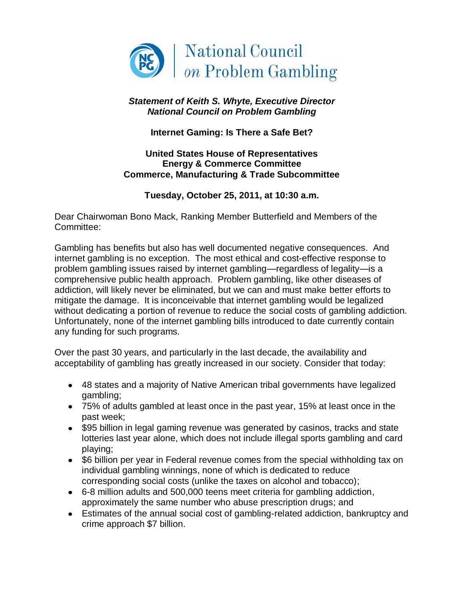

## *Statement of Keith S. Whyte, Executive Director National Council on Problem Gambling*

**Internet Gaming: Is There a Safe Bet?**

## **United States House of Representatives Energy & Commerce Committee Commerce, Manufacturing & Trade Subcommittee**

## **Tuesday, October 25, 2011, at 10:30 a.m.**

Dear Chairwoman Bono Mack, Ranking Member Butterfield and Members of the Committee:

Gambling has benefits but also has well documented negative consequences. And internet gambling is no exception. The most ethical and cost-effective response to problem gambling issues raised by internet gambling—regardless of legality—is a comprehensive public health approach. Problem gambling, like other diseases of addiction, will likely never be eliminated, but we can and must make better efforts to mitigate the damage. It is inconceivable that internet gambling would be legalized without dedicating a portion of revenue to reduce the social costs of gambling addiction. Unfortunately, none of the internet gambling bills introduced to date currently contain any funding for such programs.

Over the past 30 years, and particularly in the last decade, the availability and acceptability of gambling has greatly increased in our society. Consider that today:

- 48 states and a majority of Native American tribal governments have legalized gambling;
- 75% of adults gambled at least once in the past year, 15% at least once in the past week;
- \$95 billion in legal gaming revenue was generated by casinos, tracks and state lotteries last year alone, which does not include illegal sports gambling and card playing;
- \$6 billion per year in Federal revenue comes from the special withholding tax on individual gambling winnings, none of which is dedicated to reduce corresponding social costs (unlike the taxes on alcohol and tobacco);
- 6-8 million adults and 500,000 teens meet criteria for gambling addiction, approximately the same number who abuse prescription drugs; and
- Estimates of the annual social cost of gambling-related addiction, bankruptcy and crime approach \$7 billion.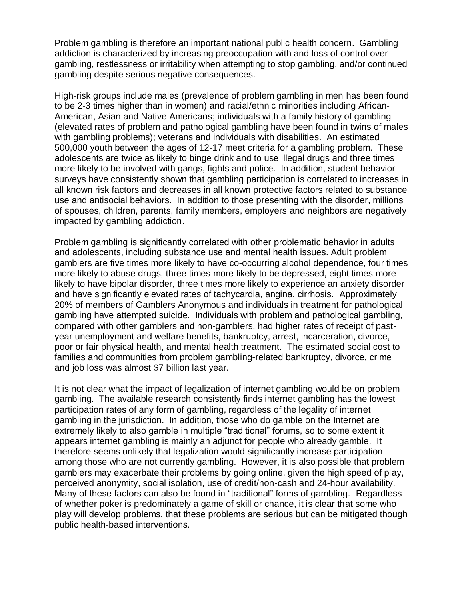Problem gambling is therefore an important national public health concern. Gambling addiction is characterized by increasing preoccupation with and loss of control over gambling, restlessness or irritability when attempting to stop gambling, and/or continued gambling despite serious negative consequences.

High-risk groups include males (prevalence of problem gambling in men has been found to be 2-3 times higher than in women) and racial/ethnic minorities including African-American, Asian and Native Americans; individuals with a family history of gambling (elevated rates of problem and pathological gambling have been found in twins of males with gambling problems); veterans and individuals with disabilities. An estimated 500,000 youth between the ages of 12-17 meet criteria for a gambling problem. These adolescents are twice as likely to binge drink and to use illegal drugs and three times more likely to be involved with gangs, fights and police. In addition, student behavior surveys have consistently shown that gambling participation is correlated to increases in all known risk factors and decreases in all known protective factors related to substance use and antisocial behaviors. In addition to those presenting with the disorder, millions of spouses, children, parents, family members, employers and neighbors are negatively impacted by gambling addiction.

Problem gambling is significantly correlated with other problematic behavior in adults and adolescents, including substance use and mental health issues. Adult problem gamblers are five times more likely to have co-occurring alcohol dependence, four times more likely to abuse drugs, three times more likely to be depressed, eight times more likely to have bipolar disorder, three times more likely to experience an anxiety disorder and have significantly elevated rates of tachycardia, angina, cirrhosis. Approximately 20% of members of Gamblers Anonymous and individuals in treatment for pathological gambling have attempted suicide. Individuals with problem and pathological gambling, compared with other gamblers and non-gamblers, had higher rates of receipt of pastyear unemployment and welfare benefits, bankruptcy, arrest, incarceration, divorce, poor or fair physical health, and mental health treatment. The estimated social cost to families and communities from problem gambling-related bankruptcy, divorce, crime and job loss was almost \$7 billion last year.

It is not clear what the impact of legalization of internet gambling would be on problem gambling. The available research consistently finds internet gambling has the lowest participation rates of any form of gambling, regardless of the legality of internet gambling in the jurisdiction. In addition, those who do gamble on the Internet are extremely likely to also gamble in multiple "traditional" forums, so to some extent it appears internet gambling is mainly an adjunct for people who already gamble. It therefore seems unlikely that legalization would significantly increase participation among those who are not currently gambling. However, it is also possible that problem gamblers may exacerbate their problems by going online, given the high speed of play, perceived anonymity, social isolation, use of credit/non-cash and 24-hour availability. Many of these factors can also be found in "traditional" forms of gambling. Regardless of whether poker is predominately a game of skill or chance, it is clear that some who play will develop problems, that these problems are serious but can be mitigated though public health-based interventions.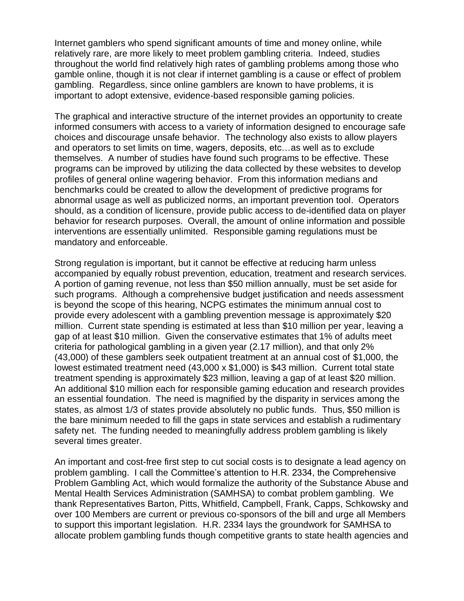Internet gamblers who spend significant amounts of time and money online, while relatively rare, are more likely to meet problem gambling criteria. Indeed, studies throughout the world find relatively high rates of gambling problems among those who gamble online, though it is not clear if internet gambling is a cause or effect of problem gambling. Regardless, since online gamblers are known to have problems, it is important to adopt extensive, evidence-based responsible gaming policies.

The graphical and interactive structure of the internet provides an opportunity to create informed consumers with access to a variety of information designed to encourage safe choices and discourage unsafe behavior. The technology also exists to allow players and operators to set limits on time, wagers, deposits, etc…as well as to exclude themselves. A number of studies have found such programs to be effective. These programs can be improved by utilizing the data collected by these websites to develop profiles of general online wagering behavior. From this information medians and benchmarks could be created to allow the development of predictive programs for abnormal usage as well as publicized norms, an important prevention tool. Operators should, as a condition of licensure, provide public access to de-identified data on player behavior for research purposes. Overall, the amount of online information and possible interventions are essentially unlimited. Responsible gaming regulations must be mandatory and enforceable.

Strong regulation is important, but it cannot be effective at reducing harm unless accompanied by equally robust prevention, education, treatment and research services. A portion of gaming revenue, not less than \$50 million annually, must be set aside for such programs. Although a comprehensive budget justification and needs assessment is beyond the scope of this hearing, NCPG estimates the minimum annual cost to provide every adolescent with a gambling prevention message is approximately \$20 million. Current state spending is estimated at less than \$10 million per year, leaving a gap of at least \$10 million. Given the conservative estimates that 1% of adults meet criteria for pathological gambling in a given year (2.17 million), and that only 2% (43,000) of these gamblers seek outpatient treatment at an annual cost of \$1,000, the lowest estimated treatment need (43,000 x \$1,000) is \$43 million. Current total state treatment spending is approximately \$23 million, leaving a gap of at least \$20 million. An additional \$10 million each for responsible gaming education and research provides an essential foundation. The need is magnified by the disparity in services among the states, as almost 1/3 of states provide absolutely no public funds. Thus, \$50 million is the bare minimum needed to fill the gaps in state services and establish a rudimentary safety net. The funding needed to meaningfully address problem gambling is likely several times greater.

An important and cost-free first step to cut social costs is to designate a lead agency on problem gambling. I call the Committee's attention to H.R. 2334, the Comprehensive Problem Gambling Act, which would formalize the authority of the Substance Abuse and Mental Health Services Administration (SAMHSA) to combat problem gambling. We thank Representatives Barton, Pitts, Whitfield, Campbell, Frank, Capps, Schkowsky and over 100 Members are current or previous co-sponsors of the bill and urge all Members to support this important legislation. H.R. 2334 lays the groundwork for SAMHSA to allocate problem gambling funds though competitive grants to state health agencies and